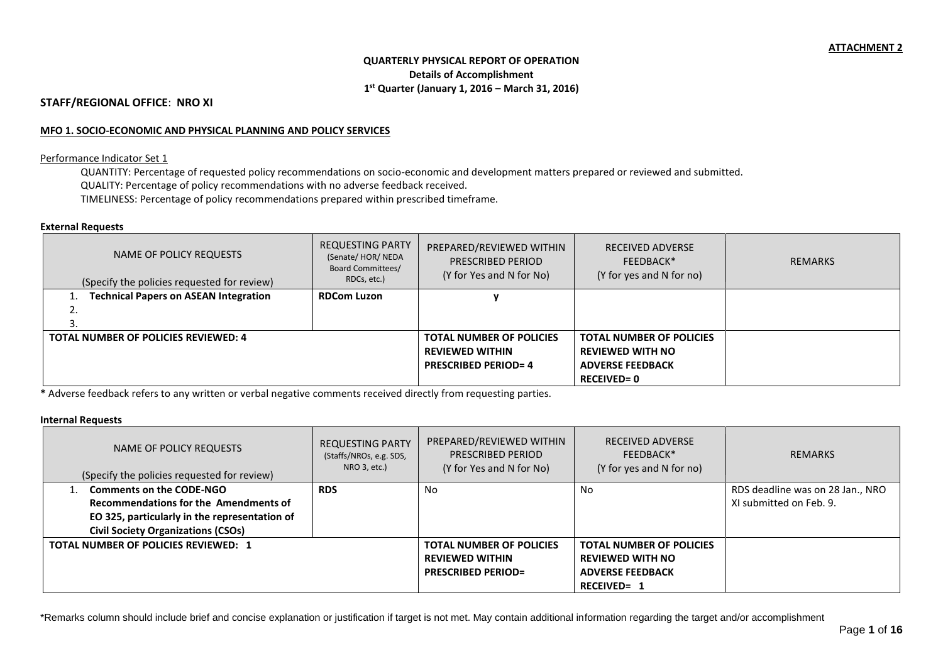# **QUARTERLY PHYSICAL REPORT OF OPERATION Details of Accomplishment 1 st Quarter (January 1, 2016 – March 31, 2016)**

### **STAFF/REGIONAL OFFICE**: **NRO XI**

#### **MFO 1. SOCIO-ECONOMIC AND PHYSICAL PLANNING AND POLICY SERVICES**

#### Performance Indicator Set 1

QUANTITY: Percentage of requested policy recommendations on socio-economic and development matters prepared or reviewed and submitted. QUALITY: Percentage of policy recommendations with no adverse feedback received. TIMELINESS: Percentage of policy recommendations prepared within prescribed timeframe.

#### **External Requests**

| NAME OF POLICY REQUESTS<br>(Specify the policies requested for review) | <b>REQUESTING PARTY</b><br>(Senate/HOR/NEDA<br><b>Board Committees/</b><br>RDCs, etc.) | PREPARED/REVIEWED WITHIN<br>PRESCRIBED PERIOD<br>(Y for Yes and N for No) | <b>RECEIVED ADVERSE</b><br>FEEDBACK*<br>(Y for yes and N for no) | REMARKS |
|------------------------------------------------------------------------|----------------------------------------------------------------------------------------|---------------------------------------------------------------------------|------------------------------------------------------------------|---------|
| 1. Technical Papers on ASEAN Integration                               | <b>RDCom Luzon</b>                                                                     |                                                                           |                                                                  |         |
| ۷.                                                                     |                                                                                        |                                                                           |                                                                  |         |
| э.                                                                     |                                                                                        |                                                                           |                                                                  |         |
| <b>TOTAL NUMBER OF POLICIES REVIEWED: 4</b>                            |                                                                                        | <b>TOTAL NUMBER OF POLICIES</b>                                           | <b>TOTAL NUMBER OF POLICIES</b>                                  |         |
|                                                                        |                                                                                        | <b>REVIEWED WITHIN</b>                                                    | <b>REVIEWED WITH NO</b>                                          |         |
|                                                                        |                                                                                        | <b>PRESCRIBED PERIOD=4</b>                                                | <b>ADVERSE FEEDBACK</b>                                          |         |
|                                                                        |                                                                                        |                                                                           | <b>RECEIVED=0</b>                                                |         |

**\*** Adverse feedback refers to any written or verbal negative comments received directly from requesting parties.

# **Internal Requests**

| NAME OF POLICY REQUESTS<br>(Specify the policies requested for review) | <b>REQUESTING PARTY</b><br>(Staffs/NROs, e.g. SDS,<br>NRO 3, etc.) | PREPARED/REVIEWED WITHIN<br>PRESCRIBED PERIOD<br>(Y for Yes and N for No) | <b>RECEIVED ADVERSE</b><br>FEEDBACK*<br>(Y for yes and N for no) | <b>REMARKS</b>                   |
|------------------------------------------------------------------------|--------------------------------------------------------------------|---------------------------------------------------------------------------|------------------------------------------------------------------|----------------------------------|
| <b>Comments on the CODE-NGO</b>                                        | <b>RDS</b>                                                         | No.                                                                       | No                                                               | RDS deadline was on 28 Jan., NRO |
| Recommendations for the Amendments of                                  |                                                                    |                                                                           |                                                                  | XI submitted on Feb. 9.          |
| EO 325, particularly in the representation of                          |                                                                    |                                                                           |                                                                  |                                  |
| <b>Civil Society Organizations (CSOs)</b>                              |                                                                    |                                                                           |                                                                  |                                  |
| <b>TOTAL NUMBER OF POLICIES REVIEWED: 1</b>                            |                                                                    | <b>TOTAL NUMBER OF POLICIES</b>                                           | <b>TOTAL NUMBER OF POLICIES</b>                                  |                                  |
|                                                                        |                                                                    | <b>REVIEWED WITHIN</b>                                                    | <b>REVIEWED WITH NO</b>                                          |                                  |
|                                                                        |                                                                    | <b>PRESCRIBED PERIOD=</b>                                                 | <b>ADVERSE FEEDBACK</b>                                          |                                  |
|                                                                        |                                                                    |                                                                           | <b>RECEIVED= 1</b>                                               |                                  |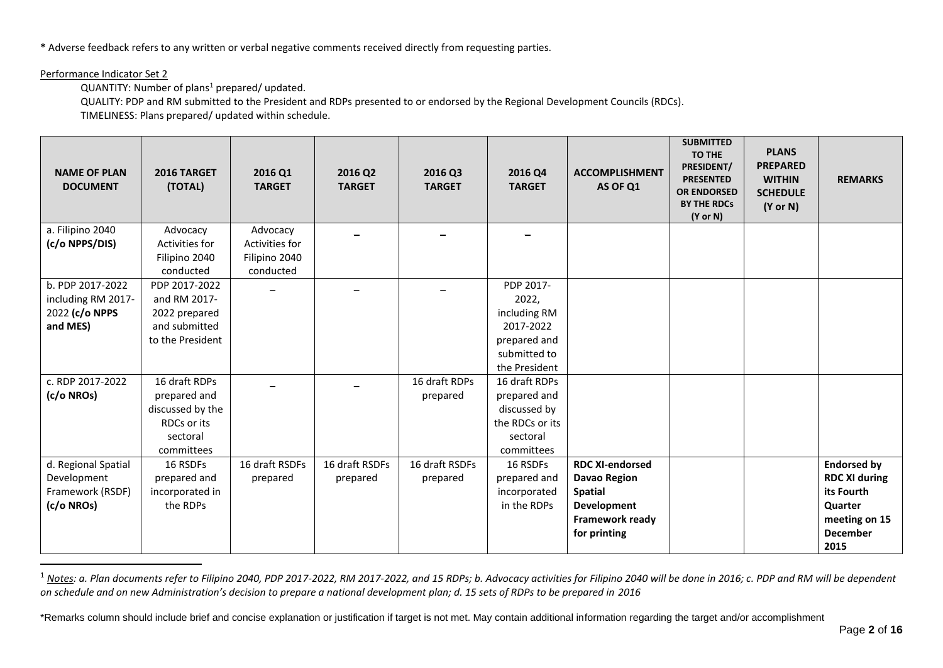**\*** Adverse feedback refers to any written or verbal negative comments received directly from requesting parties.

### Performance Indicator Set 2

1

QUANTITY: Number of plans<sup>1</sup> prepared/ updated.

QUALITY: PDP and RM submitted to the President and RDPs presented to or endorsed by the Regional Development Councils (RDCs).

TIMELINESS: Plans prepared/ updated within schedule.

| <b>NAME OF PLAN</b><br><b>DOCUMENT</b> | 2016 TARGET<br>(TOTAL)   | 2016 Q1<br><b>TARGET</b> | 2016 Q2<br><b>TARGET</b> | 2016 Q3<br><b>TARGET</b> | 2016 Q4<br><b>TARGET</b> | <b>ACCOMPLISHMENT</b><br>AS OF Q1             | <b>SUBMITTED</b><br><b>TO THE</b><br>PRESIDENT/<br><b>PRESENTED</b><br><b>OR ENDORSED</b><br><b>BY THE RDCs</b><br>$(Y \text{ or } N)$ | <b>PLANS</b><br><b>PREPARED</b><br><b>WITHIN</b><br><b>SCHEDULE</b><br>$(Y \text{ or } N)$ | <b>REMARKS</b>                             |
|----------------------------------------|--------------------------|--------------------------|--------------------------|--------------------------|--------------------------|-----------------------------------------------|----------------------------------------------------------------------------------------------------------------------------------------|--------------------------------------------------------------------------------------------|--------------------------------------------|
| a. Filipino 2040                       | Advocacy                 | Advocacy                 |                          |                          |                          |                                               |                                                                                                                                        |                                                                                            |                                            |
| (c/o NPPS/DIS)                         | Activities for           | Activities for           |                          |                          |                          |                                               |                                                                                                                                        |                                                                                            |                                            |
|                                        | Filipino 2040            | Filipino 2040            |                          |                          |                          |                                               |                                                                                                                                        |                                                                                            |                                            |
|                                        | conducted                | conducted                |                          |                          |                          |                                               |                                                                                                                                        |                                                                                            |                                            |
| b. PDP 2017-2022                       | PDP 2017-2022            |                          |                          |                          | PDP 2017-                |                                               |                                                                                                                                        |                                                                                            |                                            |
| including RM 2017-                     | and RM 2017-             |                          |                          |                          | 2022,                    |                                               |                                                                                                                                        |                                                                                            |                                            |
| 2022 (c/o NPPS                         | 2022 prepared            |                          |                          |                          | including RM             |                                               |                                                                                                                                        |                                                                                            |                                            |
| and MES)                               | and submitted            |                          |                          |                          | 2017-2022                |                                               |                                                                                                                                        |                                                                                            |                                            |
|                                        | to the President         |                          |                          |                          | prepared and             |                                               |                                                                                                                                        |                                                                                            |                                            |
|                                        |                          |                          |                          |                          | submitted to             |                                               |                                                                                                                                        |                                                                                            |                                            |
|                                        |                          |                          |                          |                          | the President            |                                               |                                                                                                                                        |                                                                                            |                                            |
| c. RDP 2017-2022                       | 16 draft RDPs            |                          |                          | 16 draft RDPs            | 16 draft RDPs            |                                               |                                                                                                                                        |                                                                                            |                                            |
| (c/o NROs)                             | prepared and             |                          |                          | prepared                 | prepared and             |                                               |                                                                                                                                        |                                                                                            |                                            |
|                                        | discussed by the         |                          |                          |                          | discussed by             |                                               |                                                                                                                                        |                                                                                            |                                            |
|                                        | RDCs or its              |                          |                          |                          | the RDCs or its          |                                               |                                                                                                                                        |                                                                                            |                                            |
|                                        | sectoral<br>committees   |                          |                          |                          | sectoral                 |                                               |                                                                                                                                        |                                                                                            |                                            |
|                                        |                          |                          | 16 draft RSDFs           |                          | committees               |                                               |                                                                                                                                        |                                                                                            |                                            |
| d. Regional Spatial<br>Development     | 16 RSDFs<br>prepared and | 16 draft RSDFs           |                          | 16 draft RSDFs           | 16 RSDFs<br>prepared and | <b>RDC XI-endorsed</b><br><b>Davao Region</b> |                                                                                                                                        |                                                                                            | <b>Endorsed by</b><br><b>RDC XI during</b> |
| Framework (RSDF)                       | incorporated in          | prepared                 | prepared                 | prepared                 | incorporated             | <b>Spatial</b>                                |                                                                                                                                        |                                                                                            | its Fourth                                 |
| (c/o NROs)                             | the RDPs                 |                          |                          |                          | in the RDPs              | <b>Development</b>                            |                                                                                                                                        |                                                                                            | Quarter                                    |
|                                        |                          |                          |                          |                          |                          | Framework ready                               |                                                                                                                                        |                                                                                            | meeting on 15                              |
|                                        |                          |                          |                          |                          |                          | for printing                                  |                                                                                                                                        |                                                                                            | <b>December</b>                            |
|                                        |                          |                          |                          |                          |                          |                                               |                                                                                                                                        |                                                                                            | 2015                                       |

<sup>1</sup> Notes: a. Plan documents refer to Filipino 2040, PDP 2017-2022, RM 2017-2022, and 15 RDPs; b. Advocacy activities for Filipino 2040 will be done in 2016; c. PDP and RM will be dependent *on schedule and on new Administration's decision to prepare a national development plan; d. 15 sets of RDPs to be prepared in 2016*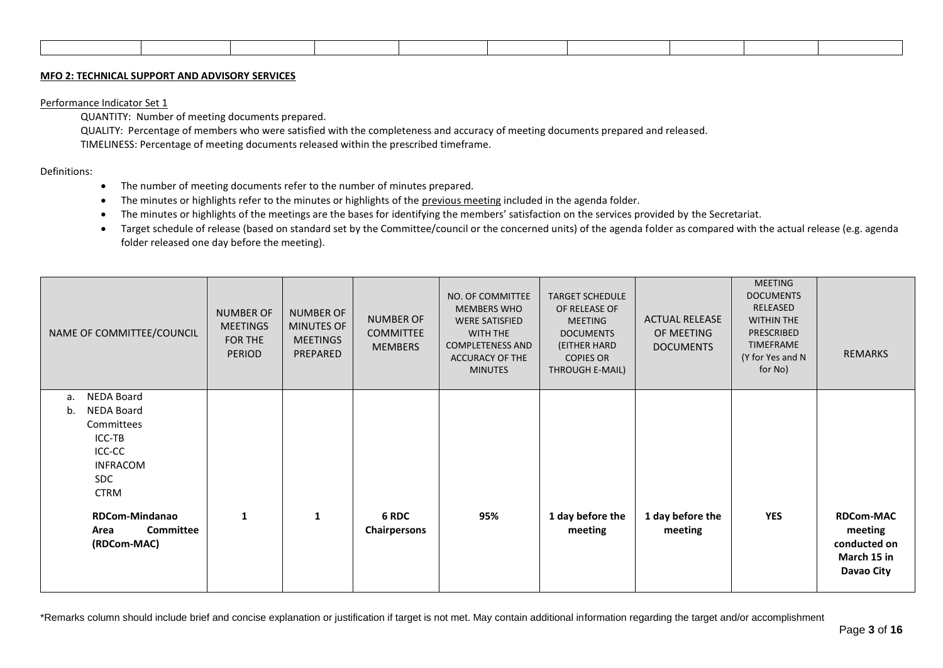#### **MFO 2: TECHNICAL SUPPORT AND ADVISORY SERVICES**

#### Performance Indicator Set 1

QUANTITY: Number of meeting documents prepared.

QUALITY: Percentage of members who were satisfied with the completeness and accuracy of meeting documents prepared and released. TIMELINESS: Percentage of meeting documents released within the prescribed timeframe.

Definitions:

- The number of meeting documents refer to the number of minutes prepared.
- The minutes or highlights refer to the minutes or highlights of the previous meeting included in the agenda folder.
- The minutes or highlights of the meetings are the bases for identifying the members' satisfaction on the services provided by the Secretariat.
- Target schedule of release (based on standard set by the Committee/council or the concerned units) of the agenda folder as compared with the actual release (e.g. agenda folder released one day before the meeting).

| NAME OF COMMITTEE/COUNCIL                                                                                                                                                                         | <b>NUMBER OF</b><br><b>MEETINGS</b><br>FOR THE<br><b>PERIOD</b> | <b>NUMBER OF</b><br>MINUTES OF<br><b>MEETINGS</b><br>PREPARED | <b>NUMBER OF</b><br><b>COMMITTEE</b><br><b>MEMBERS</b> | NO. OF COMMITTEE<br><b>MEMBERS WHO</b><br><b>WERE SATISFIED</b><br><b>WITH THE</b><br><b>COMPLETENESS AND</b><br><b>ACCURACY OF THE</b><br><b>MINUTES</b> | <b>TARGET SCHEDULE</b><br>OF RELEASE OF<br>MEETING<br><b>DOCUMENTS</b><br>(EITHER HARD<br><b>COPIES OR</b><br>THROUGH E-MAIL) | <b>ACTUAL RELEASE</b><br>OF MEETING<br><b>DOCUMENTS</b> | <b>MEETING</b><br><b>DOCUMENTS</b><br>RELEASED<br><b>WITHIN THE</b><br><b>PRESCRIBED</b><br><b>TIMEFRAME</b><br>(Y for Yes and N<br>for No) | <b>REMARKS</b>                                                           |
|---------------------------------------------------------------------------------------------------------------------------------------------------------------------------------------------------|-----------------------------------------------------------------|---------------------------------------------------------------|--------------------------------------------------------|-----------------------------------------------------------------------------------------------------------------------------------------------------------|-------------------------------------------------------------------------------------------------------------------------------|---------------------------------------------------------|---------------------------------------------------------------------------------------------------------------------------------------------|--------------------------------------------------------------------------|
| <b>NEDA Board</b><br>a.<br><b>NEDA Board</b><br>b.<br>Committees<br>ICC-TB<br>ICC-CC<br><b>INFRACOM</b><br><b>SDC</b><br><b>CTRM</b><br>RDCom-Mindanao<br><b>Committee</b><br>Area<br>(RDCom-MAC) | $\mathbf{1}$                                                    | $\mathbf{1}$                                                  | 6 RDC<br><b>Chairpersons</b>                           | 95%                                                                                                                                                       | 1 day before the<br>meeting                                                                                                   | 1 day before the<br>meeting                             | <b>YES</b>                                                                                                                                  | <b>RDCom-MAC</b><br>meeting<br>conducted on<br>March 15 in<br>Davao City |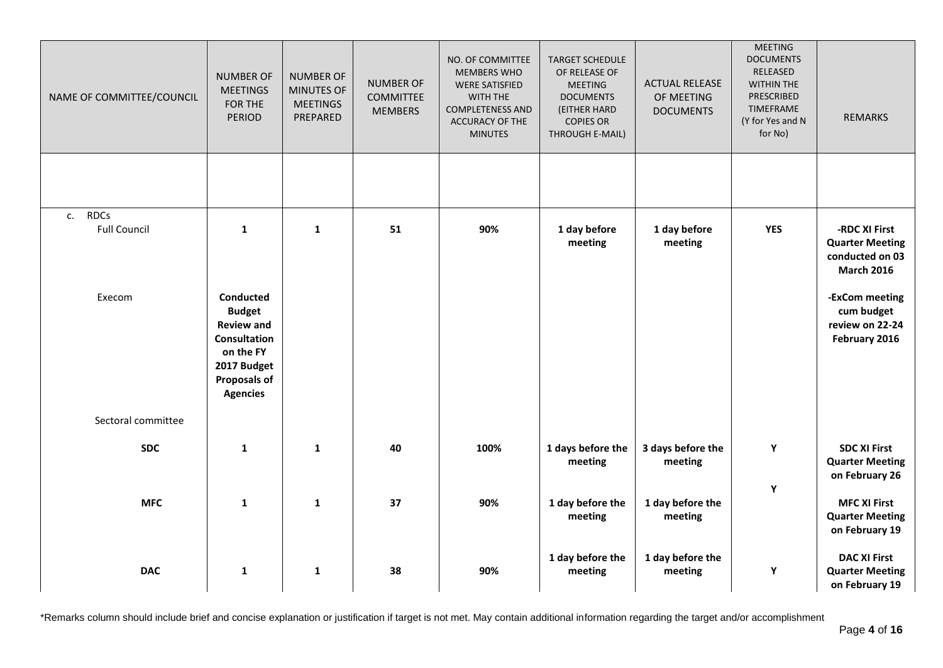| NAME OF COMMITTEE/COUNCIL                | <b>NUMBER OF</b><br><b>MEETINGS</b><br>FOR THE<br><b>PERIOD</b>                                                                              | <b>NUMBER OF</b><br>MINUTES OF<br><b>MEETINGS</b><br>PREPARED | <b>NUMBER OF</b><br><b>COMMITTEE</b><br><b>MEMBERS</b> | NO. OF COMMITTEE<br><b>MEMBERS WHO</b><br><b>WERE SATISFIED</b><br>WITH THE<br><b>COMPLETENESS AND</b><br><b>ACCURACY OF THE</b><br><b>MINUTES</b> | <b>TARGET SCHEDULE</b><br>OF RELEASE OF<br><b>MEETING</b><br><b>DOCUMENTS</b><br>(EITHER HARD<br><b>COPIES OR</b><br>THROUGH E-MAIL) | <b>ACTUAL RELEASE</b><br>OF MEETING<br><b>DOCUMENTS</b> | <b>MEETING</b><br><b>DOCUMENTS</b><br>RELEASED<br><b>WITHIN THE</b><br>PRESCRIBED<br><b>TIMEFRAME</b><br>(Y for Yes and N<br>for No) | <b>REMARKS</b>                                                                  |
|------------------------------------------|----------------------------------------------------------------------------------------------------------------------------------------------|---------------------------------------------------------------|--------------------------------------------------------|----------------------------------------------------------------------------------------------------------------------------------------------------|--------------------------------------------------------------------------------------------------------------------------------------|---------------------------------------------------------|--------------------------------------------------------------------------------------------------------------------------------------|---------------------------------------------------------------------------------|
|                                          |                                                                                                                                              |                                                               |                                                        |                                                                                                                                                    |                                                                                                                                      |                                                         |                                                                                                                                      |                                                                                 |
| <b>RDCs</b><br>c.<br><b>Full Council</b> | $\mathbf{1}$                                                                                                                                 | $\mathbf{1}$                                                  | 51                                                     | 90%                                                                                                                                                | 1 day before<br>meeting                                                                                                              | 1 day before<br>meeting                                 | <b>YES</b>                                                                                                                           | -RDC XI First<br><b>Quarter Meeting</b><br>conducted on 03<br><b>March 2016</b> |
| Execom                                   | Conducted<br><b>Budget</b><br><b>Review and</b><br><b>Consultation</b><br>on the FY<br>2017 Budget<br><b>Proposals of</b><br><b>Agencies</b> |                                                               |                                                        |                                                                                                                                                    |                                                                                                                                      |                                                         |                                                                                                                                      | -ExCom meeting<br>cum budget<br>review on 22-24<br>February 2016                |
| Sectoral committee                       |                                                                                                                                              |                                                               |                                                        |                                                                                                                                                    |                                                                                                                                      |                                                         |                                                                                                                                      |                                                                                 |
| <b>SDC</b>                               | $\mathbf{1}$                                                                                                                                 | $\mathbf{1}$                                                  | 40                                                     | 100%                                                                                                                                               | 1 days before the<br>meeting                                                                                                         | 3 days before the<br>meeting                            | Y                                                                                                                                    | <b>SDC XI First</b><br><b>Quarter Meeting</b><br>on February 26                 |
| <b>MFC</b>                               | $\mathbf{1}$                                                                                                                                 | $\mathbf{1}$                                                  | 37                                                     | 90%                                                                                                                                                | 1 day before the<br>meeting                                                                                                          | 1 day before the<br>meeting                             | Y                                                                                                                                    | <b>MFC XI First</b><br><b>Quarter Meeting</b><br>on February 19                 |
| <b>DAC</b>                               | $\mathbf{1}$                                                                                                                                 | $\mathbf{1}$                                                  | 38                                                     | 90%                                                                                                                                                | 1 day before the<br>meeting                                                                                                          | 1 day before the<br>meeting                             | Y                                                                                                                                    | <b>DAC XI First</b><br><b>Quarter Meeting</b><br>on February 19                 |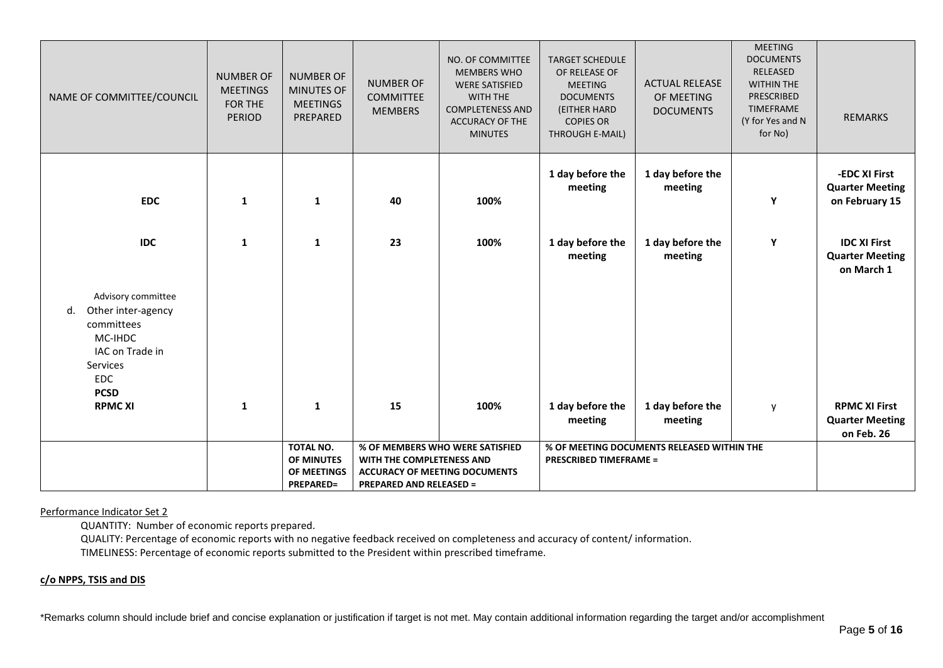| NAME OF COMMITTEE/COUNCIL                                                                                                                             | <b>NUMBER OF</b><br><b>MEETINGS</b><br>FOR THE<br><b>PERIOD</b> | <b>NUMBER OF</b><br>MINUTES OF<br><b>MEETINGS</b><br>PREPARED     | <b>NUMBER OF</b><br><b>COMMITTEE</b><br><b>MEMBERS</b>      | NO. OF COMMITTEE<br><b>MEMBERS WHO</b><br><b>WERE SATISFIED</b><br><b>WITH THE</b><br><b>COMPLETENESS AND</b><br>ACCURACY OF THE<br><b>MINUTES</b> | <b>TARGET SCHEDULE</b><br>OF RELEASE OF<br><b>MEETING</b><br><b>DOCUMENTS</b><br>(EITHER HARD<br><b>COPIES OR</b><br>THROUGH E-MAIL) | <b>ACTUAL RELEASE</b><br>OF MEETING<br><b>DOCUMENTS</b> | <b>MEETING</b><br><b>DOCUMENTS</b><br>RELEASED<br><b>WITHIN THE</b><br>PRESCRIBED<br><b>TIMEFRAME</b><br>(Y for Yes and N<br>for No) | <b>REMARKS</b>                                               |
|-------------------------------------------------------------------------------------------------------------------------------------------------------|-----------------------------------------------------------------|-------------------------------------------------------------------|-------------------------------------------------------------|----------------------------------------------------------------------------------------------------------------------------------------------------|--------------------------------------------------------------------------------------------------------------------------------------|---------------------------------------------------------|--------------------------------------------------------------------------------------------------------------------------------------|--------------------------------------------------------------|
| <b>EDC</b>                                                                                                                                            | $\mathbf{1}$                                                    | $\mathbf{1}$                                                      | 40                                                          | 100%                                                                                                                                               | 1 day before the<br>meeting                                                                                                          | 1 day before the<br>meeting                             | Y                                                                                                                                    | -EDC XI First<br><b>Quarter Meeting</b><br>on February 15    |
| <b>IDC</b>                                                                                                                                            | $\mathbf{1}$                                                    | $\mathbf{1}$                                                      | 23                                                          | 100%                                                                                                                                               | 1 day before the<br>meeting                                                                                                          | 1 day before the<br>meeting                             | Υ                                                                                                                                    | <b>IDC XI First</b><br><b>Quarter Meeting</b><br>on March 1  |
| Advisory committee<br>Other inter-agency<br>d.<br>committees<br>MC-IHDC<br>IAC on Trade in<br>Services<br><b>EDC</b><br><b>PCSD</b><br><b>RPMC XI</b> | $\mathbf{1}$                                                    | $\mathbf{1}$                                                      | 15                                                          | 100%                                                                                                                                               |                                                                                                                                      |                                                         |                                                                                                                                      |                                                              |
|                                                                                                                                                       |                                                                 |                                                                   |                                                             |                                                                                                                                                    | 1 day before the<br>meeting                                                                                                          | 1 day before the<br>meeting                             | y                                                                                                                                    | <b>RPMC XI First</b><br><b>Quarter Meeting</b><br>on Feb. 26 |
|                                                                                                                                                       |                                                                 | TOTAL NO.<br><b>OF MINUTES</b><br>OF MEETINGS<br><b>PREPARED=</b> | WITH THE COMPLETENESS AND<br><b>PREPARED AND RELEASED =</b> | % OF MEMBERS WHO WERE SATISFIED<br><b>ACCURACY OF MEETING DOCUMENTS</b>                                                                            | <b>PRESCRIBED TIMEFRAME =</b>                                                                                                        | % OF MEETING DOCUMENTS RELEASED WITHIN THE              |                                                                                                                                      |                                                              |

#### Performance Indicator Set 2

QUANTITY: Number of economic reports prepared.

QUALITY: Percentage of economic reports with no negative feedback received on completeness and accuracy of content/ information.

TIMELINESS: Percentage of economic reports submitted to the President within prescribed timeframe.

# **c/o NPPS, TSIS and DIS**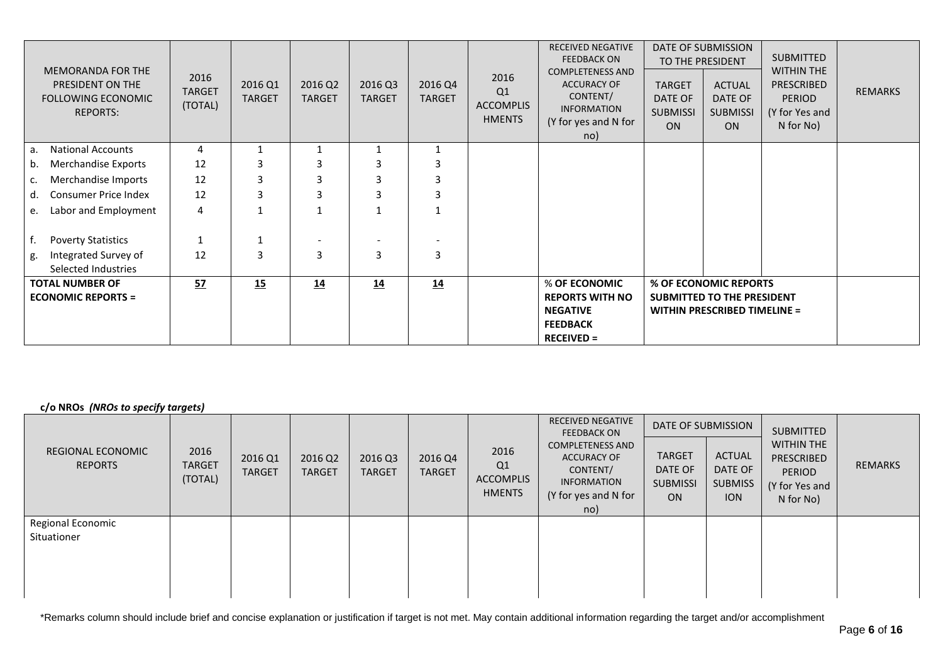| <b>MEMORANDA FOR THE</b><br>PRESIDENT ON THE<br><b>FOLLOWING ECONOMIC</b><br><b>REPORTS:</b> | 2016<br><b>TARGET</b><br>(TOTAL) | 2016 Q1<br><b>TARGET</b> | 2016 Q2<br><b>TARGET</b> | 2016 Q3<br><b>TARGET</b> | 2016 Q4<br><b>TARGET</b> | 2016<br>Q1<br><b>ACCOMPLIS</b><br><b>HMENTS</b> | <b>RECEIVED NEGATIVE</b><br><b>FEEDBACK ON</b><br><b>COMPLETENESS AND</b><br><b>ACCURACY OF</b><br>CONTENT/<br><b>INFORMATION</b><br>(Y for yes and N for<br>no) | <b>TARGET</b><br>DATE OF<br><b>SUBMISSI</b><br><b>ON</b> | <b>DATE OF SUBMISSION</b><br>TO THE PRESIDENT<br><b>ACTUAL</b><br>DATE OF<br><b>SUBMISSI</b><br><b>ON</b> | <b>SUBMITTED</b><br><b>WITHIN THE</b><br>PRESCRIBED<br><b>PERIOD</b><br>(Y for Yes and<br>N for No) | <b>REMARKS</b> |
|----------------------------------------------------------------------------------------------|----------------------------------|--------------------------|--------------------------|--------------------------|--------------------------|-------------------------------------------------|------------------------------------------------------------------------------------------------------------------------------------------------------------------|----------------------------------------------------------|-----------------------------------------------------------------------------------------------------------|-----------------------------------------------------------------------------------------------------|----------------|
| <b>National Accounts</b><br>а.                                                               | 4                                |                          |                          |                          |                          |                                                 |                                                                                                                                                                  |                                                          |                                                                                                           |                                                                                                     |                |
| Merchandise Exports<br>b.                                                                    | 12                               |                          | 3                        | з                        | 3                        |                                                 |                                                                                                                                                                  |                                                          |                                                                                                           |                                                                                                     |                |
| Merchandise Imports<br>c.                                                                    | 12                               | 3                        | 3                        | 3                        | 3                        |                                                 |                                                                                                                                                                  |                                                          |                                                                                                           |                                                                                                     |                |
| <b>Consumer Price Index</b><br>d.                                                            | 12                               | 3                        | 3                        | з                        | 3                        |                                                 |                                                                                                                                                                  |                                                          |                                                                                                           |                                                                                                     |                |
| Labor and Employment<br>e.                                                                   | 4                                |                          |                          |                          | $\mathbf 1$              |                                                 |                                                                                                                                                                  |                                                          |                                                                                                           |                                                                                                     |                |
| <b>Poverty Statistics</b>                                                                    |                                  |                          |                          |                          |                          |                                                 |                                                                                                                                                                  |                                                          |                                                                                                           |                                                                                                     |                |
| Integrated Survey of<br>g.<br>Selected Industries                                            | 12                               | 3                        | $\overline{3}$           | 3                        | 3                        |                                                 |                                                                                                                                                                  |                                                          |                                                                                                           |                                                                                                     |                |
| <b>TOTAL NUMBER OF</b><br><b>ECONOMIC REPORTS =</b>                                          | 52                               | 15                       | 14                       | 14                       | 14                       |                                                 | % OF ECONOMIC<br><b>REPORTS WITH NO</b><br><b>NEGATIVE</b><br><b>FEEDBACK</b><br><b>RECEIVED =</b>                                                               |                                                          | % OF ECONOMIC REPORTS<br>SUBMITTED TO THE PRESIDENT<br><b>WITHIN PRESCRIBED TIMELINE =</b>                |                                                                                                     |                |

# **c/o NROs** *(NROs to specify targets)*

| REGIONAL ECONOMIC<br><b>REPORTS</b> | 2016<br><b>TARGET</b><br>(TOTAL) | 2016 Q1<br><b>TARGET</b> | 2016 Q2<br><b>TARGET</b> | 2016 Q3<br><b>TARGET</b> | 2016 Q4<br><b>TARGET</b> | 2016<br>Q1<br>ACCOMPLIS<br><b>HMENTS</b> | <b>RECEIVED NEGATIVE</b><br><b>FEEDBACK ON</b><br><b>COMPLETENESS AND</b><br><b>ACCURACY OF</b><br>CONTENT/<br><b>INFORMATION</b><br>(Y for yes and N for<br>no) | DATE OF SUBMISSION<br><b>TARGET</b><br>DATE OF<br><b>SUBMISSI</b><br><b>ON</b> | <b>ACTUAL</b><br>DATE OF<br><b>SUBMISS</b><br><b>ION</b> | <b>SUBMITTED</b><br><b>WITHIN THE</b><br>PRESCRIBED<br>PERIOD<br>(Y for Yes and<br>N for No) | REMARKS |
|-------------------------------------|----------------------------------|--------------------------|--------------------------|--------------------------|--------------------------|------------------------------------------|------------------------------------------------------------------------------------------------------------------------------------------------------------------|--------------------------------------------------------------------------------|----------------------------------------------------------|----------------------------------------------------------------------------------------------|---------|
| Regional Economic<br>Situationer    |                                  |                          |                          |                          |                          |                                          |                                                                                                                                                                  |                                                                                |                                                          |                                                                                              |         |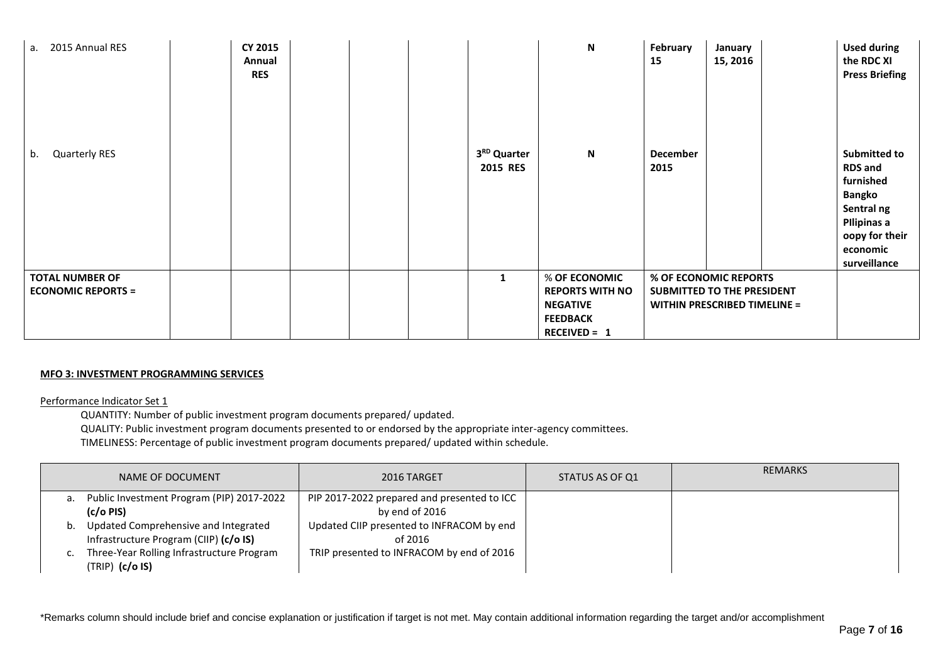| a. 2015 Annual RES                                  | <b>CY 2015</b><br>Annual<br><b>RES</b> |  |                                     | N                                                                                                    | February<br>15   | January<br>15, 2016                                                                        | <b>Used during</b><br>the RDC XI<br><b>Press Briefing</b>                                                                                      |
|-----------------------------------------------------|----------------------------------------|--|-------------------------------------|------------------------------------------------------------------------------------------------------|------------------|--------------------------------------------------------------------------------------------|------------------------------------------------------------------------------------------------------------------------------------------------|
| Quarterly RES<br>b.                                 |                                        |  | 3 <sup>RD</sup> Quarter<br>2015 RES | $\mathbf N$                                                                                          | December<br>2015 |                                                                                            | <b>Submitted to</b><br><b>RDS and</b><br>furnished<br><b>Bangko</b><br>Sentral ng<br>Pilipinas a<br>oopy for their<br>economic<br>surveillance |
| <b>TOTAL NUMBER OF</b><br><b>ECONOMIC REPORTS =</b> |                                        |  | $\mathbf{1}$                        | % OF ECONOMIC<br><b>REPORTS WITH NO</b><br><b>NEGATIVE</b><br><b>FEEDBACK</b><br><b>RECEIVED = 1</b> |                  | % OF ECONOMIC REPORTS<br>SUBMITTED TO THE PRESIDENT<br><b>WITHIN PRESCRIBED TIMELINE =</b> |                                                                                                                                                |

## **MFO 3: INVESTMENT PROGRAMMING SERVICES**

#### Performance Indicator Set 1

QUANTITY: Number of public investment program documents prepared/ updated.

QUALITY: Public investment program documents presented to or endorsed by the appropriate inter-agency committees.

TIMELINESS: Percentage of public investment program documents prepared/ updated within schedule.

|    | NAME OF DOCUMENT                                                               | 2016 TARGET                                                   | STATUS AS OF Q1 | <b>REMARKS</b> |
|----|--------------------------------------------------------------------------------|---------------------------------------------------------------|-----------------|----------------|
| а. | Public Investment Program (PIP) 2017-2022<br>(c/o PIS)                         | PIP 2017-2022 prepared and presented to ICC<br>by end of 2016 |                 |                |
| b. | Updated Comprehensive and Integrated<br>Infrastructure Program (CIIP) (c/o IS) | Updated CIIP presented to INFRACOM by end<br>of 2016          |                 |                |
|    | Three-Year Rolling Infrastructure Program<br>$(TRIP)$ $(c/o$ IS)               | TRIP presented to INFRACOM by end of 2016                     |                 |                |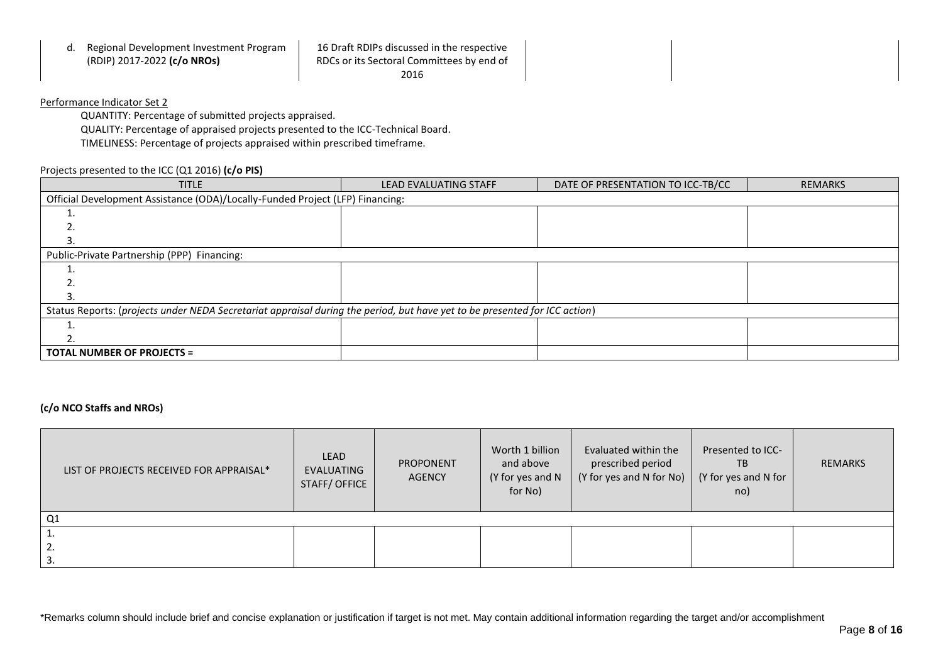| Regional Development Investment Program<br>α.<br>(RDIP) 2017-2022 (c/o NROs) | 16 Draft RDIPs discussed in the respective<br>RDCs or its Sectoral Committees by end of |  |
|------------------------------------------------------------------------------|-----------------------------------------------------------------------------------------|--|
|                                                                              | 2016                                                                                    |  |

# Performance Indicator Set 2

QUANTITY: Percentage of submitted projects appraised. QUALITY: Percentage of appraised projects presented to the ICC-Technical Board. TIMELINESS: Percentage of projects appraised within prescribed timeframe.

## Projects presented to the ICC (Q1 2016) **(c/o PIS)**

| <b>TITLE</b>                                                                                                               | <b>LEAD EVALUATING STAFF</b> | DATE OF PRESENTATION TO ICC-TB/CC | <b>REMARKS</b> |
|----------------------------------------------------------------------------------------------------------------------------|------------------------------|-----------------------------------|----------------|
| Official Development Assistance (ODA)/Locally-Funded Project (LFP) Financing:                                              |                              |                                   |                |
|                                                                                                                            |                              |                                   |                |
|                                                                                                                            |                              |                                   |                |
|                                                                                                                            |                              |                                   |                |
| Public-Private Partnership (PPP) Financing:                                                                                |                              |                                   |                |
|                                                                                                                            |                              |                                   |                |
|                                                                                                                            |                              |                                   |                |
|                                                                                                                            |                              |                                   |                |
| Status Reports: (projects under NEDA Secretariat appraisal during the period, but have yet to be presented for ICC action) |                              |                                   |                |
|                                                                                                                            |                              |                                   |                |
|                                                                                                                            |                              |                                   |                |
| <b>TOTAL NUMBER OF PROJECTS =</b>                                                                                          |                              |                                   |                |

# **(c/o NCO Staffs and NROs)**

| LIST OF PROJECTS RECEIVED FOR APPRAISAL* | <b>LEAD</b><br>EVALUATING<br>STAFF/OFFICE | PROPONENT<br><b>AGENCY</b> | Worth 1 billion<br>and above<br>(Y for yes and N<br>for No) | Evaluated within the<br>prescribed period<br>$(Y$ for yes and N for No) $(Y$ for yes and N for | Presented to ICC-<br>TB<br>no) | <b>REMARKS</b> |
|------------------------------------------|-------------------------------------------|----------------------------|-------------------------------------------------------------|------------------------------------------------------------------------------------------------|--------------------------------|----------------|
| Q <sub>1</sub>                           |                                           |                            |                                                             |                                                                                                |                                |                |
|                                          |                                           |                            |                                                             |                                                                                                |                                |                |
| ۷.                                       |                                           |                            |                                                             |                                                                                                |                                |                |
|                                          |                                           |                            |                                                             |                                                                                                |                                |                |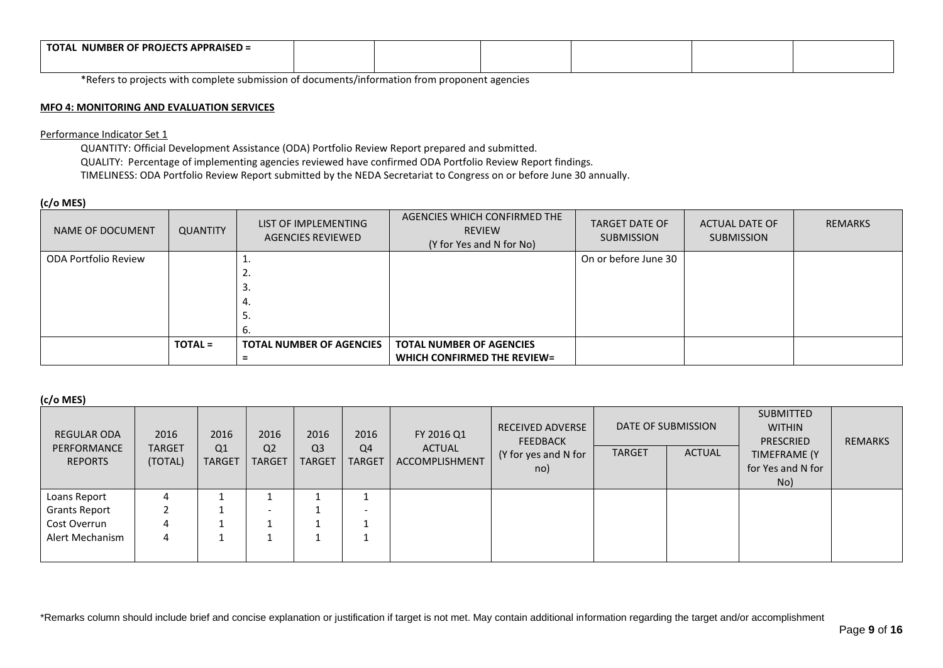| $\overline{\phantom{a}}$ S APPRAISED =<br><b>NUMBER OF PROJECT</b><br><b>TOTA</b> |  |  |  |
|-----------------------------------------------------------------------------------|--|--|--|
|                                                                                   |  |  |  |

\*Refers to projects with complete submission of documents/information from proponent agencies

### **MFO 4: MONITORING AND EVALUATION SERVICES**

Performance Indicator Set 1

QUANTITY: Official Development Assistance (ODA) Portfolio Review Report prepared and submitted. QUALITY: Percentage of implementing agencies reviewed have confirmed ODA Portfolio Review Report findings. TIMELINESS: ODA Portfolio Review Report submitted by the NEDA Secretariat to Congress on or before June 30 annually.

## **(c/o MES)**

| NAME OF DOCUMENT     | <b>QUANTITY</b> | LIST OF IMPLEMENTING<br>AGENCIES REVIEWED | AGENCIES WHICH CONFIRMED THE<br><b>REVIEW</b><br>(Y for Yes and N for No) | <b>TARGET DATE OF</b><br><b>SUBMISSION</b> | ACTUAL DATE OF<br><b>SUBMISSION</b> | <b>REMARKS</b> |
|----------------------|-----------------|-------------------------------------------|---------------------------------------------------------------------------|--------------------------------------------|-------------------------------------|----------------|
| ODA Portfolio Review |                 | ᆠ.                                        |                                                                           | On or before June 30                       |                                     |                |
|                      |                 | L.                                        |                                                                           |                                            |                                     |                |
|                      |                 | C.                                        |                                                                           |                                            |                                     |                |
|                      |                 | 4.                                        |                                                                           |                                            |                                     |                |
|                      |                 | J.                                        |                                                                           |                                            |                                     |                |
|                      |                 |                                           |                                                                           |                                            |                                     |                |
|                      | <b>TOTAL =</b>  | <b>TOTAL NUMBER OF AGENCIES</b>           | <b>TOTAL NUMBER OF AGENCIES</b>                                           |                                            |                                     |                |
|                      |                 |                                           | <b>WHICH CONFIRMED THE REVIEW=</b>                                        |                                            |                                     |                |

## **(c/o MES)**

| <b>REGULAR ODA</b><br>PERFORMANCE<br><b>REPORTS</b> | 2016<br><b>TARGET</b><br>(TOTAL) | 2016<br>Q <sub>1</sub><br><b>TARGET</b> | 2016<br>Q <sub>2</sub><br><b>TARGET</b> | 2016<br>Q <sub>3</sub><br><b>TARGET</b> | 2016<br>Q <sub>4</sub><br><b>TARGET</b> | FY 2016 Q1<br>ACTUAL<br>ACCOMPLISHMENT | <b>RECEIVED ADVERSE</b><br><b>FEEDBACK</b><br>(Y for yes and N for<br>no) | <b>TARGET</b> | DATE OF SUBMISSION<br><b>ACTUAL</b> | <b>SUBMITTED</b><br><b>WITHIN</b><br><b>PRESCRIED</b><br>TIMEFRAME (Y<br>for Yes and N for<br>No) | <b>REMARKS</b> |
|-----------------------------------------------------|----------------------------------|-----------------------------------------|-----------------------------------------|-----------------------------------------|-----------------------------------------|----------------------------------------|---------------------------------------------------------------------------|---------------|-------------------------------------|---------------------------------------------------------------------------------------------------|----------------|
| Loans Report                                        |                                  |                                         |                                         |                                         |                                         |                                        |                                                                           |               |                                     |                                                                                                   |                |
| <b>Grants Report</b>                                |                                  |                                         | $\overline{\phantom{0}}$                |                                         | $\overline{\phantom{0}}$                |                                        |                                                                           |               |                                     |                                                                                                   |                |
| Cost Overrun                                        |                                  |                                         |                                         |                                         |                                         |                                        |                                                                           |               |                                     |                                                                                                   |                |
| Alert Mechanism                                     |                                  |                                         |                                         |                                         |                                         |                                        |                                                                           |               |                                     |                                                                                                   |                |
|                                                     |                                  |                                         |                                         |                                         |                                         |                                        |                                                                           |               |                                     |                                                                                                   |                |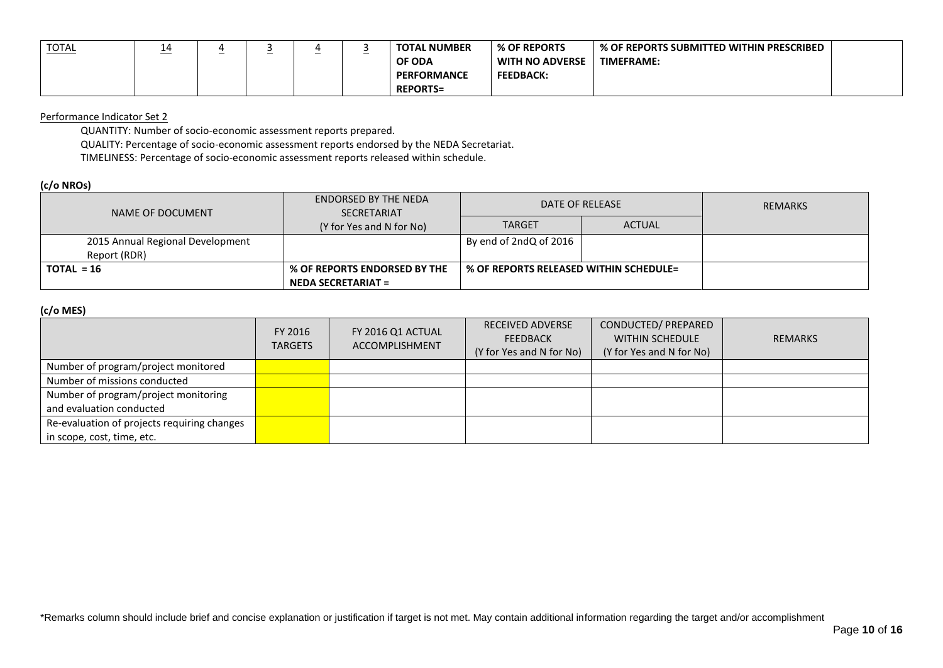| <b>TOTAL</b> | --<br>____ | - |  | <b>TOTAL NUMBER</b> | % OF REPORTS     | % OF REPORTS SUBMITTED WITHIN PRESCRIBED |  |
|--------------|------------|---|--|---------------------|------------------|------------------------------------------|--|
|              |            |   |  | OF ODA              | WITH NO ADVERSE  | <b>TIMEFRAME:</b>                        |  |
|              |            |   |  | <b>PERFORMANCE</b>  | <b>FEEDBACK:</b> |                                          |  |
|              |            |   |  | <b>REPORTS=</b>     |                  |                                          |  |

### Performance Indicator Set 2

QUANTITY: Number of socio-economic assessment reports prepared.

QUALITY: Percentage of socio-economic assessment reports endorsed by the NEDA Secretariat.

TIMELINESS: Percentage of socio-economic assessment reports released within schedule.

# **(c/o NROs)**

| NAME OF DOCUMENT                 | <b>ENDORSED BY THE NEDA</b><br><b>SECRETARIAT</b> |                                        | DATE OF RELEASE | <b>REMARKS</b> |
|----------------------------------|---------------------------------------------------|----------------------------------------|-----------------|----------------|
|                                  | (Y for Yes and N for No)                          | <b>TARGET</b>                          | <b>ACTUAL</b>   |                |
| 2015 Annual Regional Development |                                                   | By end of 2ndQ of 2016                 |                 |                |
| Report (RDR)                     |                                                   |                                        |                 |                |
| $TOTAL = 16$                     | % OF REPORTS ENDORSED BY THE                      | % OF REPORTS RELEASED WITHIN SCHEDULE= |                 |                |
|                                  | <b>NEDA SECRETARIAT =</b>                         |                                        |                 |                |

# **(c/o MES)**

|                                             | FY 2016<br><b>TARGETS</b> | FY 2016 Q1 ACTUAL<br><b>ACCOMPLISHMENT</b> | <b>RECEIVED ADVERSE</b><br><b>FEEDBACK</b><br>(Y for Yes and N for No) | CONDUCTED/ PREPARED<br><b>WITHIN SCHEDULE</b><br>(Y for Yes and N for No) | <b>REMARKS</b> |
|---------------------------------------------|---------------------------|--------------------------------------------|------------------------------------------------------------------------|---------------------------------------------------------------------------|----------------|
| Number of program/project monitored         |                           |                                            |                                                                        |                                                                           |                |
| Number of missions conducted                |                           |                                            |                                                                        |                                                                           |                |
| Number of program/project monitoring        |                           |                                            |                                                                        |                                                                           |                |
| and evaluation conducted                    |                           |                                            |                                                                        |                                                                           |                |
| Re-evaluation of projects requiring changes |                           |                                            |                                                                        |                                                                           |                |
| in scope, cost, time, etc.                  |                           |                                            |                                                                        |                                                                           |                |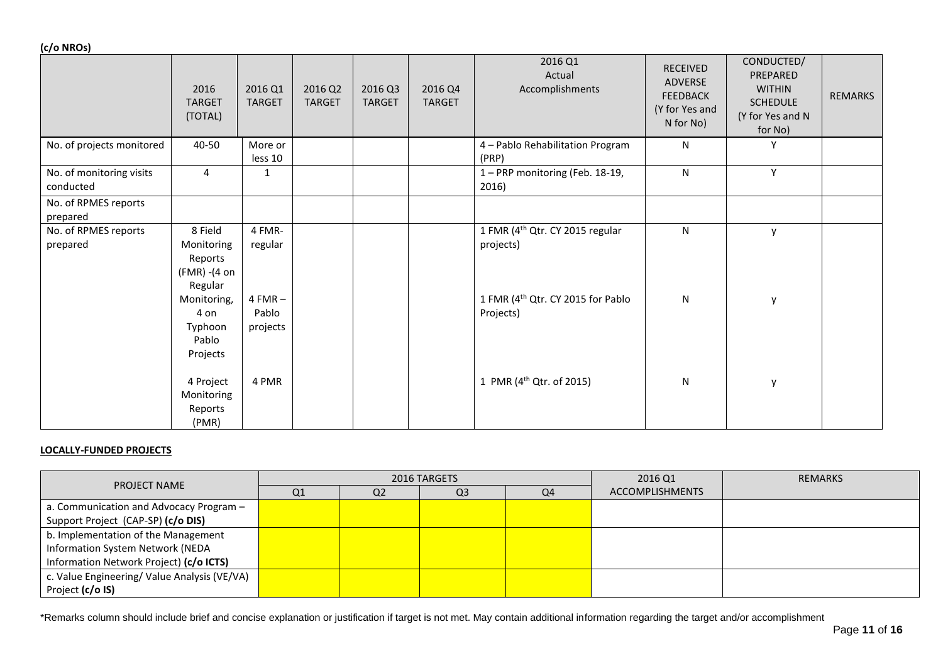**(c/o NROs)**

| $\cdots$<br>$ \cdot$ $\cdot$          | 2016<br><b>TARGET</b><br>(TOTAL)                            | 2016 Q1<br><b>TARGET</b>       | 2016 Q2<br><b>TARGET</b> | 2016 Q3<br><b>TARGET</b> | 2016 Q4<br><b>TARGET</b> | 2016 Q1<br>Actual<br>Accomplishments                       | <b>RECEIVED</b><br>ADVERSE<br><b>FEEDBACK</b><br>(Y for Yes and<br>N for No) | CONDUCTED/<br>PREPARED<br><b>WITHIN</b><br><b>SCHEDULE</b><br>(Y for Yes and N<br>for No) | <b>REMARKS</b> |
|---------------------------------------|-------------------------------------------------------------|--------------------------------|--------------------------|--------------------------|--------------------------|------------------------------------------------------------|------------------------------------------------------------------------------|-------------------------------------------------------------------------------------------|----------------|
| No. of projects monitored             | 40-50                                                       | More or<br>less 10             |                          |                          |                          | 4 - Pablo Rehabilitation Program<br>(PRP)                  | N                                                                            | ٧                                                                                         |                |
| No. of monitoring visits<br>conducted | 4                                                           | $\mathbf{1}$                   |                          |                          |                          | 1 - PRP monitoring (Feb. 18-19,<br>2016)                   | N                                                                            | Y                                                                                         |                |
| No. of RPMES reports<br>prepared      |                                                             |                                |                          |                          |                          |                                                            |                                                                              |                                                                                           |                |
| No. of RPMES reports<br>prepared      | 8 Field<br>Monitoring<br>Reports<br>(FMR) -(4 on<br>Regular | 4 FMR-<br>regular              |                          |                          |                          | 1 FMR (4 <sup>th</sup> Qtr. CY 2015 regular<br>projects)   | N                                                                            | y                                                                                         |                |
|                                       | Monitoring,<br>4 on<br>Typhoon<br>Pablo<br>Projects         | $4 FMR -$<br>Pablo<br>projects |                          |                          |                          | 1 FMR (4 <sup>th</sup> Qtr. CY 2015 for Pablo<br>Projects) | N                                                                            | у                                                                                         |                |
|                                       | 4 Project<br>Monitoring<br>Reports<br>(PMR)                 | 4 PMR                          |                          |                          |                          | 1 PMR (4 <sup>th</sup> Qtr. of 2015)                       | N                                                                            | У                                                                                         |                |

## **LOCALLY-FUNDED PROJECTS**

|                                              |    |                | 2016 TARGETS   |    | 2016 Q1                | <b>REMARKS</b> |
|----------------------------------------------|----|----------------|----------------|----|------------------------|----------------|
| PROJECT NAME                                 | Q1 | Q <sub>2</sub> | Q <sub>3</sub> | Q4 | <b>ACCOMPLISHMENTS</b> |                |
| a. Communication and Advocacy Program -      |    |                |                |    |                        |                |
| Support Project (CAP-SP) (c/o DIS)           |    |                |                |    |                        |                |
| b. Implementation of the Management          |    |                |                |    |                        |                |
| Information System Network (NEDA             |    |                |                |    |                        |                |
| Information Network Project) (c/o ICTS)      |    |                |                |    |                        |                |
| c. Value Engineering/ Value Analysis (VE/VA) |    |                |                |    |                        |                |
| Project (c/o IS)                             |    |                |                |    |                        |                |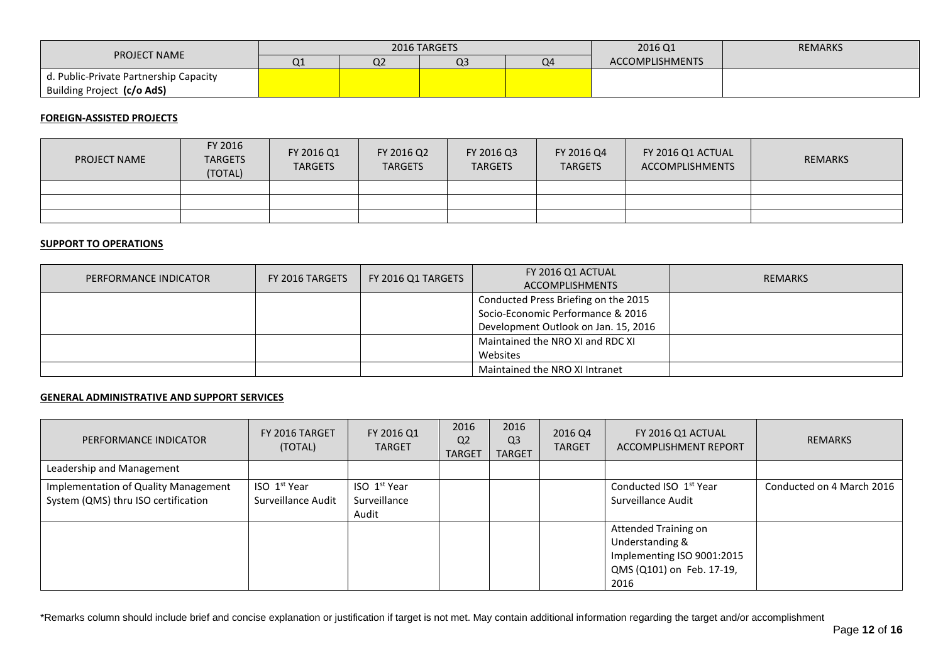| <b>PROJECT NAME</b>                    |    |                    | 2016 TARGETS |    | 2016 Q1         | <b>REMARKS</b> |
|----------------------------------------|----|--------------------|--------------|----|-----------------|----------------|
|                                        | u⊥ | $\sim$<br><b>U</b> | Q3           | Q4 | ACCOMPLISHMENTS |                |
| d. Public-Private Partnership Capacity |    |                    |              |    |                 |                |
| Building Project (c/o AdS)             |    |                    |              |    |                 |                |

### **FOREIGN-ASSISTED PROJECTS**

| <b>PROJECT NAME</b> | FY 2016<br><b>TARGETS</b><br>(TOTAL) | FY 2016 Q1<br><b>TARGETS</b> | FY 2016 Q2<br><b>TARGETS</b> | FY 2016 Q3<br><b>TARGETS</b> | FY 2016 Q4<br><b>TARGETS</b> | FY 2016 Q1 ACTUAL<br>ACCOMPLISHMENTS | <b>REMARKS</b> |
|---------------------|--------------------------------------|------------------------------|------------------------------|------------------------------|------------------------------|--------------------------------------|----------------|
|                     |                                      |                              |                              |                              |                              |                                      |                |
|                     |                                      |                              |                              |                              |                              |                                      |                |
|                     |                                      |                              |                              |                              |                              |                                      |                |

# **SUPPORT TO OPERATIONS**

| <b>PERFORMANCE INDICATOR</b> | FY 2016 TARGETS | FY 2016 Q1 TARGETS | FY 2016 Q1 ACTUAL                    | <b>REMARKS</b> |
|------------------------------|-----------------|--------------------|--------------------------------------|----------------|
|                              |                 |                    | <b>ACCOMPLISHMENTS</b>               |                |
|                              |                 |                    | Conducted Press Briefing on the 2015 |                |
|                              |                 |                    | Socio-Economic Performance & 2016    |                |
|                              |                 |                    | Development Outlook on Jan. 15, 2016 |                |
|                              |                 |                    | Maintained the NRO XI and RDC XI     |                |
|                              |                 |                    | Websites                             |                |
|                              |                 |                    | Maintained the NRO XI Intranet       |                |

#### **GENERAL ADMINISTRATIVE AND SUPPORT SERVICES**

| PERFORMANCE INDICATOR                                                       | FY 2016 TARGET<br>(TOTAL)                      | FY 2016 Q1<br><b>TARGET</b>                       | 2016<br>Q <sub>2</sub><br><b>TARGET</b> | 2016<br>Q <sub>3</sub><br><b>TARGET</b> | 2016 Q4<br><b>TARGET</b> | FY 2016 Q1 ACTUAL<br>ACCOMPLISHMENT REPORT                                                                 | <b>REMARKS</b>            |
|-----------------------------------------------------------------------------|------------------------------------------------|---------------------------------------------------|-----------------------------------------|-----------------------------------------|--------------------------|------------------------------------------------------------------------------------------------------------|---------------------------|
| Leadership and Management                                                   |                                                |                                                   |                                         |                                         |                          |                                                                                                            |                           |
| Implementation of Quality Management<br>System (QMS) thru ISO certification | ISO <sub>1</sub> st Year<br>Surveillance Audit | ISO 1 <sup>st</sup> Year<br>Surveillance<br>Audit |                                         |                                         |                          | Conducted ISO 1 <sup>st</sup> Year<br>Surveillance Audit                                                   | Conducted on 4 March 2016 |
|                                                                             |                                                |                                                   |                                         |                                         |                          | Attended Training on<br>Understanding &<br>Implementing ISO 9001:2015<br>QMS (Q101) on Feb. 17-19,<br>2016 |                           |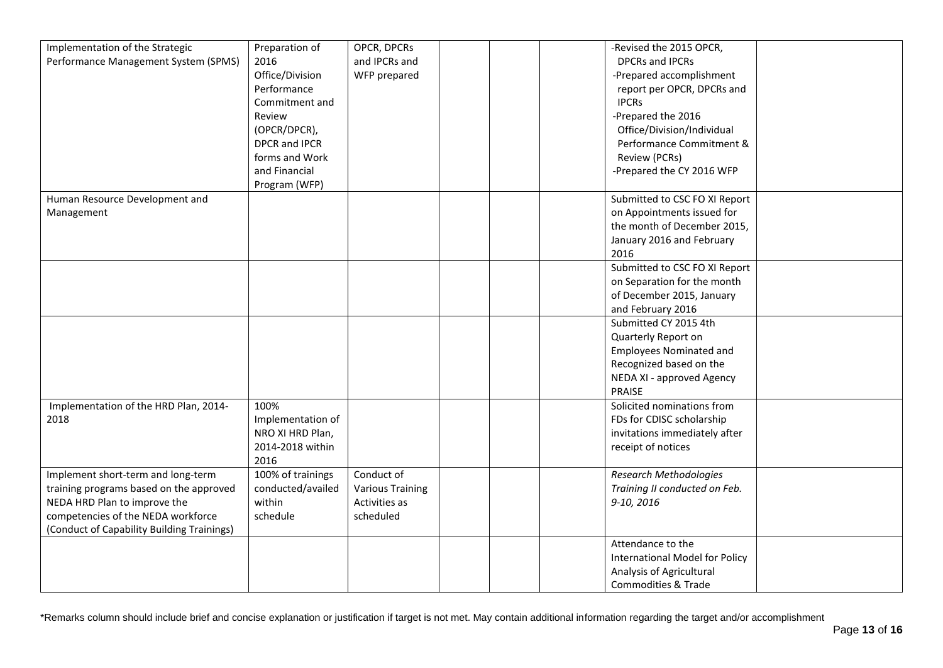| Implementation of the Strategic            | Preparation of    | OPCR, DPCRs             |  | -Revised the 2015 OPCR,        |  |
|--------------------------------------------|-------------------|-------------------------|--|--------------------------------|--|
| Performance Management System (SPMS)       | 2016              | and IPCRs and           |  | <b>DPCRs and IPCRs</b>         |  |
|                                            | Office/Division   | WFP prepared            |  | -Prepared accomplishment       |  |
|                                            | Performance       |                         |  | report per OPCR, DPCRs and     |  |
|                                            | Commitment and    |                         |  | <b>IPCRs</b>                   |  |
|                                            | Review            |                         |  | -Prepared the 2016             |  |
|                                            | (OPCR/DPCR),      |                         |  | Office/Division/Individual     |  |
|                                            | DPCR and IPCR     |                         |  | Performance Commitment &       |  |
|                                            | forms and Work    |                         |  | Review (PCRs)                  |  |
|                                            | and Financial     |                         |  | -Prepared the CY 2016 WFP      |  |
|                                            | Program (WFP)     |                         |  |                                |  |
| Human Resource Development and             |                   |                         |  | Submitted to CSC FO XI Report  |  |
|                                            |                   |                         |  | on Appointments issued for     |  |
| Management                                 |                   |                         |  |                                |  |
|                                            |                   |                         |  | the month of December 2015,    |  |
|                                            |                   |                         |  | January 2016 and February      |  |
|                                            |                   |                         |  | 2016                           |  |
|                                            |                   |                         |  | Submitted to CSC FO XI Report  |  |
|                                            |                   |                         |  | on Separation for the month    |  |
|                                            |                   |                         |  | of December 2015, January      |  |
|                                            |                   |                         |  | and February 2016              |  |
|                                            |                   |                         |  | Submitted CY 2015 4th          |  |
|                                            |                   |                         |  | Quarterly Report on            |  |
|                                            |                   |                         |  | <b>Employees Nominated and</b> |  |
|                                            |                   |                         |  | Recognized based on the        |  |
|                                            |                   |                         |  | NEDA XI - approved Agency      |  |
|                                            |                   |                         |  | PRAISE                         |  |
| Implementation of the HRD Plan, 2014-      | 100%              |                         |  | Solicited nominations from     |  |
| 2018                                       | Implementation of |                         |  | FDs for CDISC scholarship      |  |
|                                            | NRO XI HRD Plan,  |                         |  | invitations immediately after  |  |
|                                            | 2014-2018 within  |                         |  | receipt of notices             |  |
|                                            | 2016              |                         |  |                                |  |
| Implement short-term and long-term         | 100% of trainings | Conduct of              |  | <b>Research Methodologies</b>  |  |
| training programs based on the approved    | conducted/availed | <b>Various Training</b> |  | Training II conducted on Feb.  |  |
| NEDA HRD Plan to improve the               | within            | Activities as           |  | 9-10, 2016                     |  |
| competencies of the NEDA workforce         | schedule          | scheduled               |  |                                |  |
| (Conduct of Capability Building Trainings) |                   |                         |  |                                |  |
|                                            |                   |                         |  | Attendance to the              |  |
|                                            |                   |                         |  | International Model for Policy |  |
|                                            |                   |                         |  | Analysis of Agricultural       |  |
|                                            |                   |                         |  | Commodities & Trade            |  |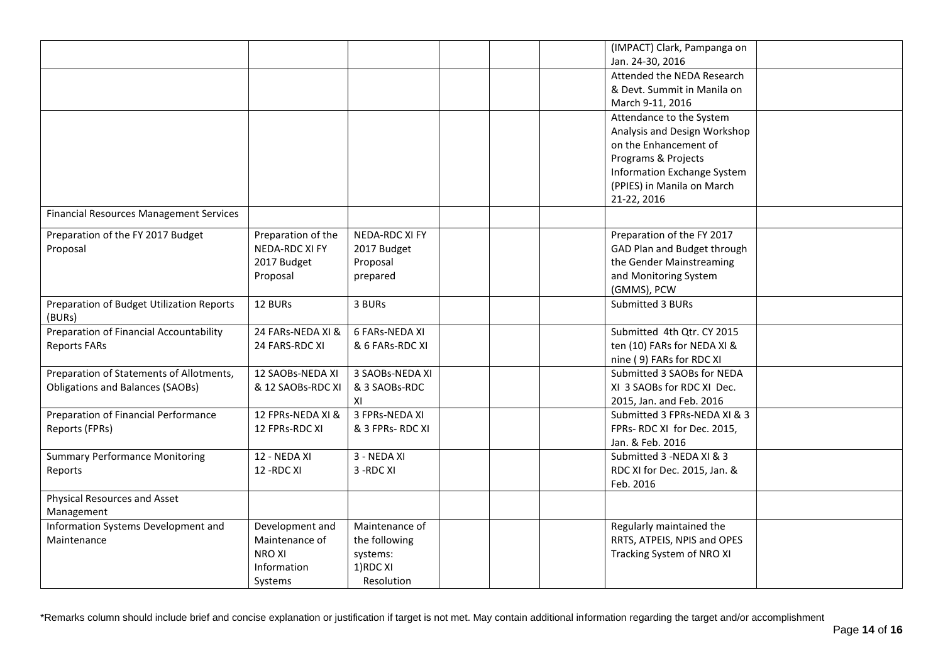|                                                |                    |                  | (IMPACT) Clark, Pampanga on  |  |
|------------------------------------------------|--------------------|------------------|------------------------------|--|
|                                                |                    |                  | Jan. 24-30, 2016             |  |
|                                                |                    |                  | Attended the NEDA Research   |  |
|                                                |                    |                  | & Devt. Summit in Manila on  |  |
|                                                |                    |                  | March 9-11, 2016             |  |
|                                                |                    |                  | Attendance to the System     |  |
|                                                |                    |                  | Analysis and Design Workshop |  |
|                                                |                    |                  | on the Enhancement of        |  |
|                                                |                    |                  | Programs & Projects          |  |
|                                                |                    |                  | Information Exchange System  |  |
|                                                |                    |                  | (PPIES) in Manila on March   |  |
|                                                |                    |                  | 21-22, 2016                  |  |
| <b>Financial Resources Management Services</b> |                    |                  |                              |  |
| Preparation of the FY 2017 Budget              | Preparation of the | NEDA-RDC XI FY   | Preparation of the FY 2017   |  |
| Proposal                                       | NEDA-RDC XI FY     | 2017 Budget      | GAD Plan and Budget through  |  |
|                                                | 2017 Budget        | Proposal         | the Gender Mainstreaming     |  |
|                                                | Proposal           | prepared         | and Monitoring System        |  |
|                                                |                    |                  | (GMMS), PCW                  |  |
| Preparation of Budget Utilization Reports      | 12 BURs            | 3 BURs           | Submitted 3 BURs             |  |
| (BURs)                                         |                    |                  |                              |  |
| Preparation of Financial Accountability        | 24 FARs-NEDA XI &  | 6 FARs-NEDA XI   | Submitted 4th Qtr. CY 2015   |  |
| <b>Reports FARs</b>                            | 24 FARS-RDC XI     | & 6 FARs-RDC XI  | ten (10) FARs for NEDA XI &  |  |
|                                                |                    |                  | nine (9) FARs for RDC XI     |  |
| Preparation of Statements of Allotments,       | 12 SAOBs-NEDA XI   | 3 SAOBs-NEDA XI  | Submitted 3 SAOBs for NEDA   |  |
| <b>Obligations and Balances (SAOBs)</b>        | & 12 SAOBs-RDC XI  | & 3 SAOBs-RDC    | XI 3 SAOBs for RDC XI Dec.   |  |
|                                                |                    | XI               | 2015, Jan. and Feb. 2016     |  |
| Preparation of Financial Performance           | 12 FPRs-NEDA XI &  | 3 FPRs-NEDA XI   | Submitted 3 FPRs-NEDA XI & 3 |  |
| Reports (FPRs)                                 | 12 FPRs-RDC XI     | & 3 FPRs- RDC XI | FPRs- RDC XI for Dec. 2015,  |  |
|                                                |                    |                  | Jan. & Feb. 2016             |  |
| <b>Summary Performance Monitoring</b>          | 12 - NEDA XI       | 3 - NEDA XI      | Submitted 3 -NEDA XI & 3     |  |
| Reports                                        | 12 - RDC XI        | 3-RDC XI         | RDC XI for Dec. 2015, Jan. & |  |
|                                                |                    |                  | Feb. 2016                    |  |
| Physical Resources and Asset                   |                    |                  |                              |  |
| Management                                     |                    |                  |                              |  |
| Information Systems Development and            | Development and    | Maintenance of   | Regularly maintained the     |  |
| Maintenance                                    | Maintenance of     | the following    | RRTS, ATPEIS, NPIS and OPES  |  |
|                                                | <b>NROXI</b>       | systems:         | Tracking System of NRO XI    |  |
|                                                | Information        | 1)RDC XI         |                              |  |
|                                                | Systems            | Resolution       |                              |  |
|                                                |                    |                  |                              |  |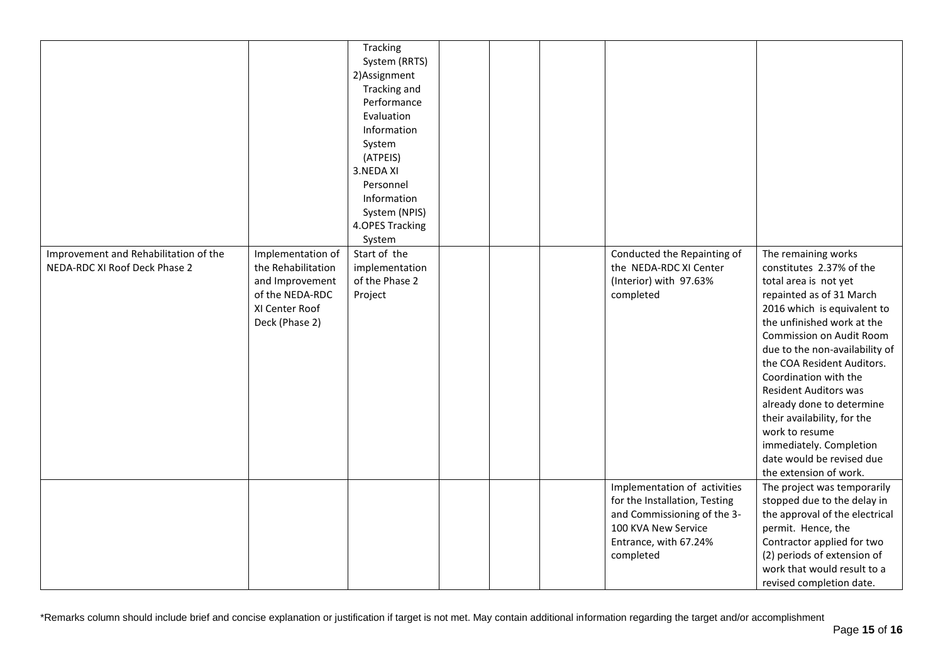| Improvement and Rehabilitation of the<br>NEDA-RDC XI Roof Deck Phase 2 | Implementation of<br>the Rehabilitation<br>and Improvement<br>of the NEDA-RDC<br>XI Center Roof<br>Deck (Phase 2) | Tracking<br>System (RRTS)<br>2) Assignment<br>Tracking and<br>Performance<br>Evaluation<br>Information<br>System<br>(ATPEIS)<br>3.NEDA XI<br>Personnel<br>Information<br>System (NPIS)<br>4.OPES Tracking<br>System<br>Start of the<br>implementation<br>of the Phase 2<br>Project |  | Conducted the Repainting of<br>the NEDA-RDC XI Center<br>(Interior) with 97.63%<br>completed                                                              | The remaining works<br>constitutes 2.37% of the<br>total area is not yet<br>repainted as of 31 March<br>2016 which is equivalent to<br>the unfinished work at the<br>Commission on Audit Room<br>due to the non-availability of<br>the COA Resident Auditors.<br>Coordination with the<br><b>Resident Auditors was</b><br>already done to determine<br>their availability, for the<br>work to resume<br>immediately. Completion<br>date would be revised due<br>the extension of work. |
|------------------------------------------------------------------------|-------------------------------------------------------------------------------------------------------------------|------------------------------------------------------------------------------------------------------------------------------------------------------------------------------------------------------------------------------------------------------------------------------------|--|-----------------------------------------------------------------------------------------------------------------------------------------------------------|----------------------------------------------------------------------------------------------------------------------------------------------------------------------------------------------------------------------------------------------------------------------------------------------------------------------------------------------------------------------------------------------------------------------------------------------------------------------------------------|
|                                                                        |                                                                                                                   |                                                                                                                                                                                                                                                                                    |  | Implementation of activities<br>for the Installation, Testing<br>and Commissioning of the 3-<br>100 KVA New Service<br>Entrance, with 67.24%<br>completed | The project was temporarily<br>stopped due to the delay in<br>the approval of the electrical<br>permit. Hence, the<br>Contractor applied for two<br>(2) periods of extension of<br>work that would result to a<br>revised completion date.                                                                                                                                                                                                                                             |